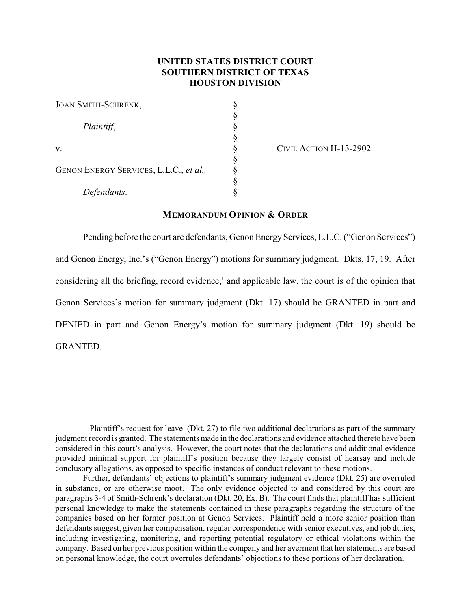# **UNITED STATES DISTRICT COURT SOUTHERN DISTRICT OF TEXAS HOUSTON DIVISION**

| <b>JOAN SMITH-SCHRENK,</b>             |  |
|----------------------------------------|--|
|                                        |  |
| Plaintiff,                             |  |
|                                        |  |
| V.                                     |  |
|                                        |  |
| GENON ENERGY SERVICES, L.L.C., et al., |  |
|                                        |  |
| Defendants.                            |  |

CIVIL ACTION H-13-2902

#### **MEMORANDUM OPINION & ORDER**

Pending before the court are defendants, Genon Energy Services, L.L.C. ("Genon Services") and Genon Energy, Inc.'s ("Genon Energy") motions for summary judgment. Dkts. 17, 19. After considering all the briefing, record evidence, $\frac{1}{2}$  and applicable law, the court is of the opinion that Genon Services's motion for summary judgment (Dkt. 17) should be GRANTED in part and DENIED in part and Genon Energy's motion for summary judgment (Dkt. 19) should be GRANTED.

<sup>&</sup>lt;sup>1</sup> Plaintiff's request for leave (Dkt. 27) to file two additional declarations as part of the summary judgment record is granted. The statements made in the declarations and evidence attached thereto have been considered in this court's analysis. However, the court notes that the declarations and additional evidence provided minimal support for plaintiff's position because they largely consist of hearsay and include conclusory allegations, as opposed to specific instances of conduct relevant to these motions.

Further, defendants' objections to plaintiff's summary judgment evidence (Dkt. 25) are overruled in substance, or are otherwise moot. The only evidence objected to and considered by this court are paragraphs 3-4 of Smith-Schrenk's declaration (Dkt. 20, Ex. B). The court finds that plaintiff has sufficient personal knowledge to make the statements contained in these paragraphs regarding the structure of the companies based on her former position at Genon Services. Plaintiff held a more senior position than defendants suggest, given her compensation, regular correspondence with senior executives, and job duties, including investigating, monitoring, and reporting potential regulatory or ethical violations within the company. Based on her previous position within the company and her averment that her statements are based on personal knowledge, the court overrules defendants' objections to these portions of her declaration.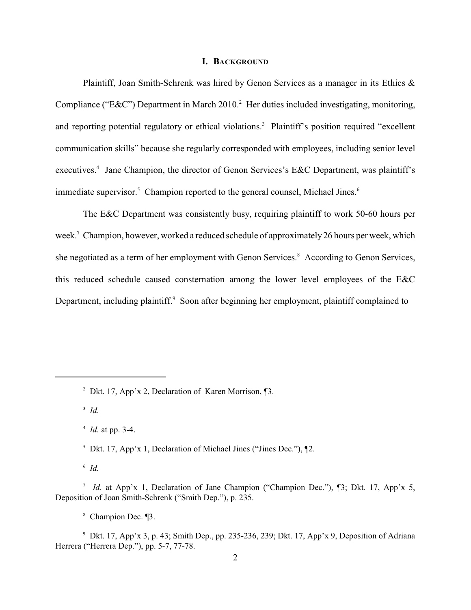### **I. BACKGROUND**

Plaintiff, Joan Smith-Schrenk was hired by Genon Services as a manager in its Ethics & Compliance ("E&C") Department in March 2010.<sup>2</sup> Her duties included investigating, monitoring, and reporting potential regulatory or ethical violations.<sup>3</sup> Plaintiff's position required "excellent" communication skills" because she regularly corresponded with employees, including senior level executives.<sup>4</sup> Jane Champion, the director of Genon Services's E&C Department, was plaintiff's immediate supervisor.<sup>5</sup> Champion reported to the general counsel, Michael Jines.<sup>6</sup>

The E&C Department was consistently busy, requiring plaintiff to work 50-60 hours per week.<sup>7</sup> Champion, however, worked a reduced schedule of approximately 26 hours per week, which she negotiated as a term of her employment with Genon Services.<sup>8</sup> According to Genon Services, this reduced schedule caused consternation among the lower level employees of the E&C Department, including plaintiff.<sup>9</sup> Soon after beginning her employment, plaintiff complained to

 $\overline{\phantom{a}^3}$  *Id.* 

 $^{4}$  *Id.* at pp. 3-4.

 $\delta$  *Id.* 

<sup>&</sup>lt;sup>2</sup> Dkt. 17, App'x 2, Declaration of Karen Morrison,  $\P$ 3.

<sup>&</sup>lt;sup>5</sup> Dkt. 17, App'x 1, Declaration of Michael Jines ("Jines Dec."),  $\P$ 2.

*Id.* at App'x 1, Declaration of Jane Champion ("Champion Dec."), [3; Dkt. 17, App'x 5, Deposition of Joan Smith-Schrenk ("Smith Dep."), p. 235.

<sup>&</sup>lt;sup>8</sup> Champion Dec. ¶3.

<sup>&</sup>lt;sup>9</sup> Dkt. 17, App'x 3, p. 43; Smith Dep., pp. 235-236, 239; Dkt. 17, App'x 9, Deposition of Adriana Herrera ("Herrera Dep."), pp. 5-7, 77-78.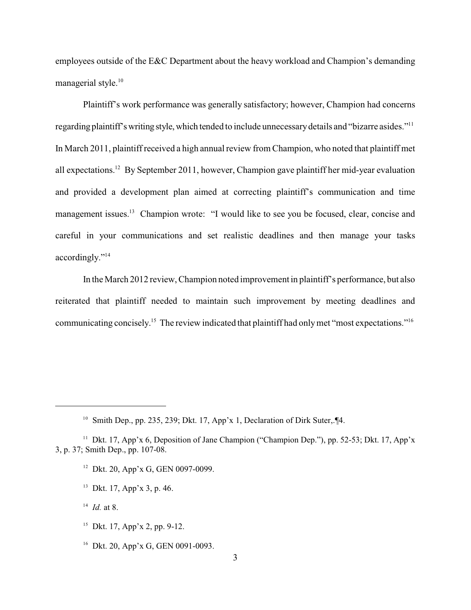employees outside of the E&C Department about the heavy workload and Champion's demanding managerial style.<sup>10</sup>

Plaintiff's work performance was generally satisfactory; however, Champion had concerns regarding plaintiff's writing style, which tended to include unnecessary details and "bizarre asides."<sup>11</sup> In March 2011, plaintiff received a high annual review from Champion, who noted that plaintiff met all expectations.<sup>12</sup> By September 2011, however, Champion gave plaintiff her mid-year evaluation and provided a development plan aimed at correcting plaintiff's communication and time management issues.<sup>13</sup> Champion wrote: "I would like to see you be focused, clear, concise and careful in your communications and set realistic deadlines and then manage your tasks accordingly."<sup>14</sup>

In the March 2012 review, Champion noted improvement in plaintiff's performance, but also reiterated that plaintiff needed to maintain such improvement by meeting deadlines and communicating concisely.<sup>15</sup> The review indicated that plaintiff had only met "most expectations."<sup>16</sup>

- <sup>12</sup> Dkt. 20, App'x G, GEN 0097-0099.
- $13$  Dkt. 17, App'x 3, p. 46.
- $^{14}$  *Id.* at 8.
- <sup>15</sup> Dkt. 17, App'x 2, pp. 9-12.
- <sup>16</sup> Dkt. 20, App'x G, GEN 0091-0093.

<sup>&</sup>lt;sup>10</sup> Smith Dep., pp. 235, 239; Dkt. 17, App'x 1, Declaration of Dirk Suter,. [4.]

<sup>&</sup>lt;sup>11</sup> Dkt. 17, App'x 6, Deposition of Jane Champion ("Champion Dep."), pp. 52-53; Dkt. 17, App'x 3, p. 37; Smith Dep., pp. 107-08.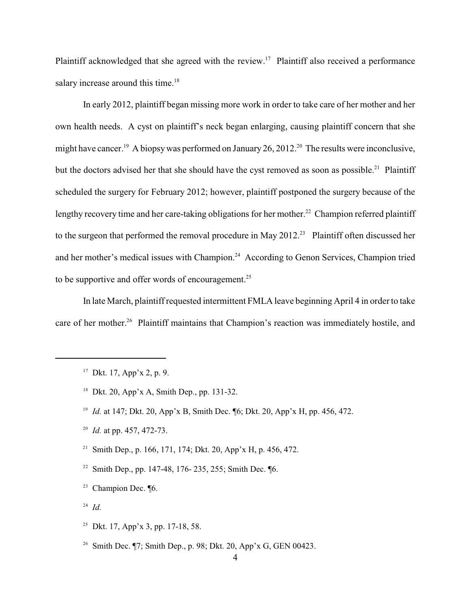Plaintiff acknowledged that she agreed with the review.<sup>17</sup> Plaintiff also received a performance salary increase around this time. $18$ 

In early 2012, plaintiff began missing more work in order to take care of her mother and her own health needs. A cyst on plaintiff's neck began enlarging, causing plaintiff concern that she might have cancer.<sup>19</sup> A biopsy was performed on January 26, 2012.<sup>20</sup> The results were inconclusive, but the doctors advised her that she should have the cyst removed as soon as possible.<sup>21</sup> Plaintiff scheduled the surgery for February 2012; however, plaintiff postponed the surgery because of the lengthy recovery time and her care-taking obligations for her mother.<sup>22</sup> Champion referred plaintiff to the surgeon that performed the removal procedure in May  $2012<sup>23</sup>$  Plaintiff often discussed her and her mother's medical issues with Champion.<sup>24</sup> According to Genon Services, Champion tried to be supportive and offer words of encouragement. $25$ 

In late March, plaintiff requested intermittent FMLA leave beginning April 4 in orderto take care of her mother.<sup>26</sup> Plaintiff maintains that Champion's reaction was immediately hostile, and

- <sup>18</sup> Dkt. 20, App'x A, Smith Dep., pp. 131-32.
- <sup>19</sup> *Id.* at 147; Dkt. 20, App'x B, Smith Dec. [6; Dkt. 20, App'x H, pp. 456, 472.
- <sup>20</sup> *Id.* at pp. 457, 472-73.
- <sup>21</sup> Smith Dep., p. 166, 171, 174; Dkt. 20, App'x H, p. 456, 472.
- <sup>22</sup> Smith Dep., pp. 147-48, 176- 235, 255; Smith Dec. **16.**
- $23$  Champion Dec.  $\P6$ .
- *Id.* 24
- <sup>25</sup> Dkt. 17, App'x 3, pp. 17-18, 58.
- <sup>26</sup> Smith Dec.  $\P$ 7; Smith Dep., p. 98; Dkt. 20, App'x G, GEN 00423.

<sup>&</sup>lt;sup>17</sup> Dkt. 17, App'x 2, p. 9.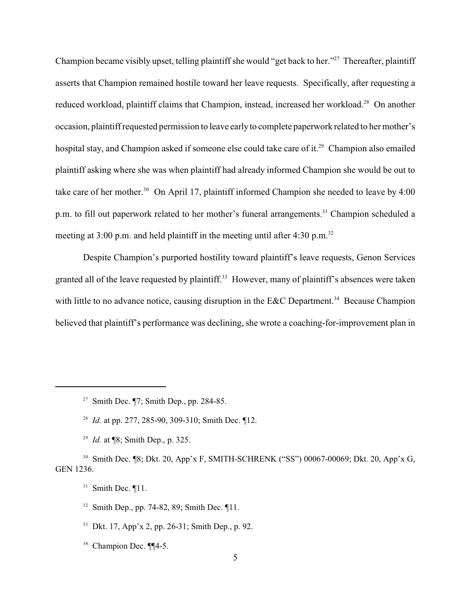Champion became visibly upset, telling plaintiff she would "get back to her."<sup>27</sup> Thereafter, plaintiff asserts that Champion remained hostile toward her leave requests. Specifically, after requesting a reduced workload, plaintiff claims that Champion, instead, increased her workload.<sup>28</sup> On another occasion, plaintiff requested permission to leave earlyto complete paperwork related to her mother's hospital stay, and Champion asked if someone else could take care of it.<sup>29</sup> Champion also emailed plaintiff asking where she was when plaintiff had already informed Champion she would be out to take care of her mother.<sup>30</sup> On April 17, plaintiff informed Champion she needed to leave by 4:00 p.m. to fill out paperwork related to her mother's funeral arrangements.<sup>31</sup> Champion scheduled a meeting at  $3:00$  p.m. and held plaintiff in the meeting until after  $4:30$  p.m.<sup>32</sup>

Despite Champion's purported hostility toward plaintiff's leave requests, Genon Services granted all of the leave requested by plaintiff.<sup>33</sup> However, many of plaintiff's absences were taken with little to no advance notice, causing disruption in the E&C Department.<sup>34</sup> Because Champion believed that plaintiff's performance was declining, she wrote a coaching-for-improvement plan in

<sup>29</sup> *Id.* at  $\sqrt{8}$ ; Smith Dep., p. 325.

<sup>30</sup> Smith Dec. ¶8; Dkt. 20, App'x F, SMITH-SCHRENK ("SS") 00067-00069; Dkt. 20, App'x G, GEN 1236.

<sup>&</sup>lt;sup>27</sup> Smith Dec.  $\P$ 7; Smith Dep., pp. 284-85.

<sup>&</sup>lt;sup>28</sup> *Id.* at pp. 277, 285-90, 309-310; Smith Dec. 112.

 $31$  Smith Dec.  $\P{11}$ .

 $32$  Smith Dep., pp. 74-82, 89; Smith Dec.  $\P{11}$ .

<sup>&</sup>lt;sup>33</sup> Dkt. 17, App'x 2, pp. 26-31; Smith Dep., p. 92.

 $34$  Champion Dec. ¶¶4-5.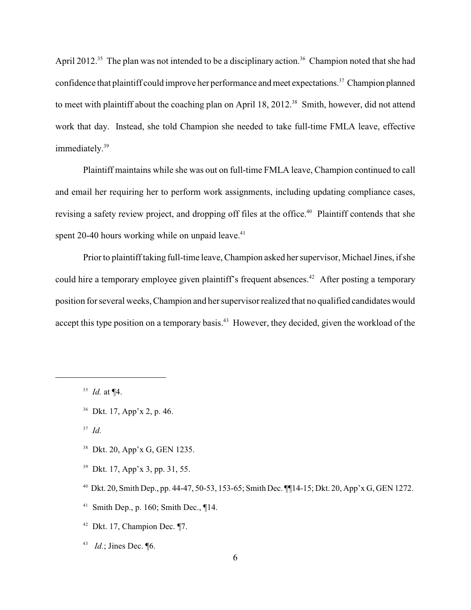April 2012.<sup>35</sup> The plan was not intended to be a disciplinary action.<sup>36</sup> Champion noted that she had confidence that plaintiff could improve her performance and meet expectations.<sup>37</sup> Champion planned to meet with plaintiff about the coaching plan on April 18, 2012.<sup>38</sup> Smith, however, did not attend work that day. Instead, she told Champion she needed to take full-time FMLA leave, effective immediately. 39

Plaintiff maintains while she was out on full-time FMLA leave, Champion continued to call and email her requiring her to perform work assignments, including updating compliance cases, revising a safety review project, and dropping off files at the office.<sup>40</sup> Plaintiff contends that she spent 20-40 hours working while on unpaid leave.<sup>41</sup>

Prior to plaintiff taking full-time leave, Champion asked her supervisor, Michael Jines, if she could hire a temporary employee given plaintiff's frequent absences.<sup>42</sup> After posting a temporary position for several weeks, Champion and her supervisor realized that no qualified candidates would accept this type position on a temporary basis.<sup>43</sup> However, they decided, given the workload of the

 $J^3$  *Id.* 

<sup>38</sup> Dkt. 20, App'x G, GEN 1235.

- <sup>39</sup> Dkt. 17, App'x 3, pp. 31, 55.
- <sup>40</sup> Dkt. 20, Smith Dep., pp. 44-47, 50-53, 153-65; Smith Dec.  $\P$ [14-15; Dkt. 20, App'x G, GEN 1272.
- <sup>41</sup> Smith Dep., p. 160; Smith Dec.,  $\P$ 14.
- $42$  Dkt. 17, Champion Dec.  $\P$ 7.
- <sup>43</sup> *Id.*; Jines Dec. **[6.**]

 $^{35}$  *Id.* at  $\P 4$ .

<sup>&</sup>lt;sup>36</sup> Dkt. 17, App'x 2, p. 46.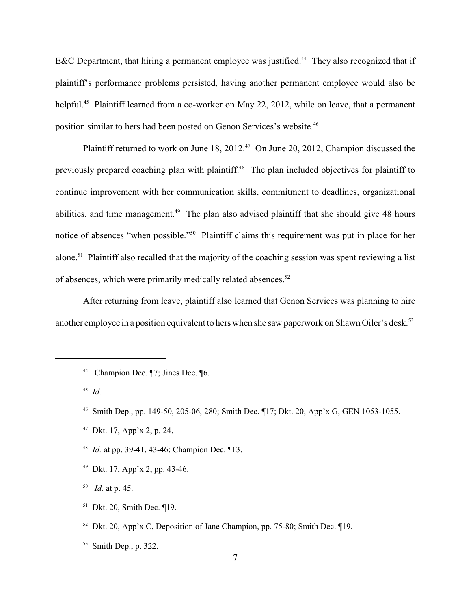E&C Department, that hiring a permanent employee was justified.<sup>44</sup> They also recognized that if plaintiff's performance problems persisted, having another permanent employee would also be helpful.<sup>45</sup> Plaintiff learned from a co-worker on May 22, 2012, while on leave, that a permanent position similar to hers had been posted on Genon Services's website.<sup>46</sup>

Plaintiff returned to work on June  $18$ ,  $2012<sup>47</sup>$  On June 20, 2012, Champion discussed the previously prepared coaching plan with plaintiff.<sup>48</sup> The plan included objectives for plaintiff to continue improvement with her communication skills, commitment to deadlines, organizational abilities, and time management.<sup> $49$ </sup> The plan also advised plaintiff that she should give 48 hours notice of absences "when possible."<sup>50</sup> Plaintiff claims this requirement was put in place for her alone.<sup>51</sup> Plaintiff also recalled that the majority of the coaching session was spent reviewing a list of absences, which were primarily medically related absences.<sup>52</sup>

After returning from leave, plaintiff also learned that Genon Services was planning to hire another employee in a position equivalent to hers when she saw paperwork on Shawn Oiler's desk.<sup>53</sup>

- <sup>47</sup> Dkt. 17, App'x 2, p. 24.
- <sup>48</sup> *Id.* at pp. 39-41, 43-46; Champion Dec. 113.
- <sup>49</sup> Dkt. 17, App'x 2, pp. 43-46.

 $^{50}$  *Id.* at p. 45.

- $51$  Dkt. 20, Smith Dec.  $\P$ 19.
- <sup>52</sup> Dkt. 20, App'x C, Deposition of Jane Champion, pp. 75-80; Smith Dec.  $\Pi$ 19.

<sup>&</sup>lt;sup>44</sup> Champion Dec. ¶7; Jines Dec. ¶6.

<sup>&</sup>lt;sup>45</sup> *Id.* 

<sup>&</sup>lt;sup>46</sup> Smith Dep., pp. 149-50, 205-06, 280; Smith Dec. ¶17; Dkt. 20, App'x G, GEN 1053-1055.

<sup>&</sup>lt;sup>53</sup> Smith Dep., p. 322.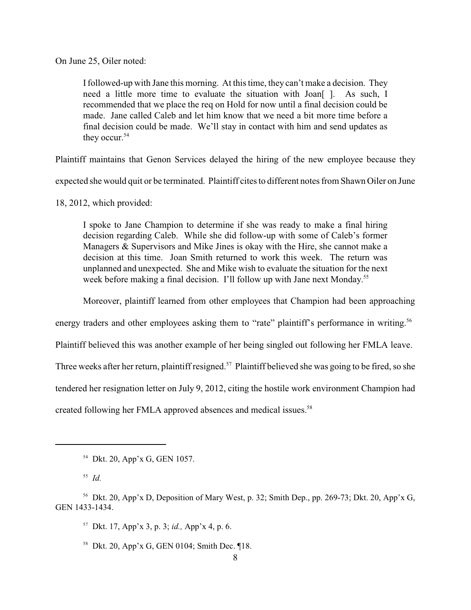On June 25, Oiler noted:

Ifollowed-up with Jane this morning. At this time, they can't make a decision. They need a little more time to evaluate the situation with Joan<sup>[]</sup>. As such, I recommended that we place the req on Hold for now until a final decision could be made. Jane called Caleb and let him know that we need a bit more time before a final decision could be made. We'll stay in contact with him and send updates as they occur. 54

Plaintiff maintains that Genon Services delayed the hiring of the new employee because they

expected she would quit or be terminated. Plaintiff cites to different notes from Shawn Oiler on June

18, 2012, which provided:

I spoke to Jane Champion to determine if she was ready to make a final hiring decision regarding Caleb. While she did follow-up with some of Caleb's former Managers & Supervisors and Mike Jines is okay with the Hire, she cannot make a decision at this time. Joan Smith returned to work this week. The return was unplanned and unexpected. She and Mike wish to evaluate the situation for the next week before making a final decision. I'll follow up with Jane next Monday.<sup>55</sup>

Moreover, plaintiff learned from other employees that Champion had been approaching

energy traders and other employees asking them to "rate" plaintiff's performance in writing.<sup>56</sup>

Plaintiff believed this was another example of her being singled out following her FMLA leave.

Three weeks after her return, plaintiff resigned.<sup>57</sup> Plaintiff believed she was going to be fired, so she

tendered her resignation letter on July 9, 2012, citing the hostile work environment Champion had

created following her FMLA approved absences and medical issues.<sup>58</sup>

<sup>58</sup> Dkt. 20, App'x G, GEN 0104; Smith Dec.  $\P$ 18.

 $54$  Dkt. 20, App'x G, GEN 1057.

 $^{55}$  *Id.* 

<sup>&</sup>lt;sup>56</sup> Dkt. 20, App'x D, Deposition of Mary West, p. 32; Smith Dep., pp. 269-73; Dkt. 20, App'x G, GEN 1433-1434.

<sup>&</sup>lt;sup>57</sup> Dkt. 17, App'x 3, p. 3; *id.*, App'x 4, p. 6.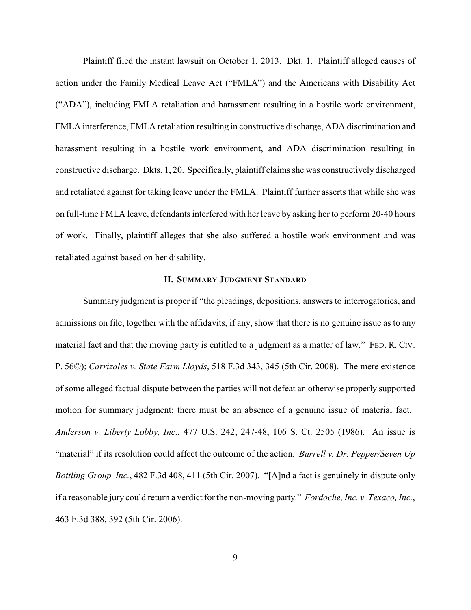Plaintiff filed the instant lawsuit on October 1, 2013. Dkt. 1. Plaintiff alleged causes of action under the Family Medical Leave Act ("FMLA") and the Americans with Disability Act ("ADA"), including FMLA retaliation and harassment resulting in a hostile work environment, FMLA interference, FMLA retaliation resulting in constructive discharge, ADA discrimination and harassment resulting in a hostile work environment, and ADA discrimination resulting in constructive discharge. Dkts. 1, 20. Specifically, plaintiff claims she was constructively discharged and retaliated against for taking leave under the FMLA. Plaintiff further asserts that while she was on full-time FMLA leave, defendants interfered with her leave by asking her to perform 20-40 hours of work. Finally, plaintiff alleges that she also suffered a hostile work environment and was retaliated against based on her disability.

## **II. SUMMARY JUDGMENT STANDARD**

Summary judgment is proper if "the pleadings, depositions, answers to interrogatories, and admissions on file, together with the affidavits, if any, show that there is no genuine issue as to any material fact and that the moving party is entitled to a judgment as a matter of law." FED. R. CIV. P. 56©); *Carrizales v. State Farm Lloyds*, 518 F.3d 343, 345 (5th Cir. 2008). The mere existence of some alleged factual dispute between the parties will not defeat an otherwise properly supported motion for summary judgment; there must be an absence of a genuine issue of material fact. *Anderson v. Liberty Lobby, Inc.*, 477 U.S. 242, 247-48, 106 S. Ct. 2505 (1986). An issue is "material" if its resolution could affect the outcome of the action. *Burrell v. Dr. Pepper/Seven Up Bottling Group, Inc.*, 482 F.3d 408, 411 (5th Cir. 2007). "[A]nd a fact is genuinely in dispute only if a reasonable jury could return a verdict for the non-moving party." *Fordoche, Inc. v. Texaco, Inc.*, 463 F.3d 388, 392 (5th Cir. 2006).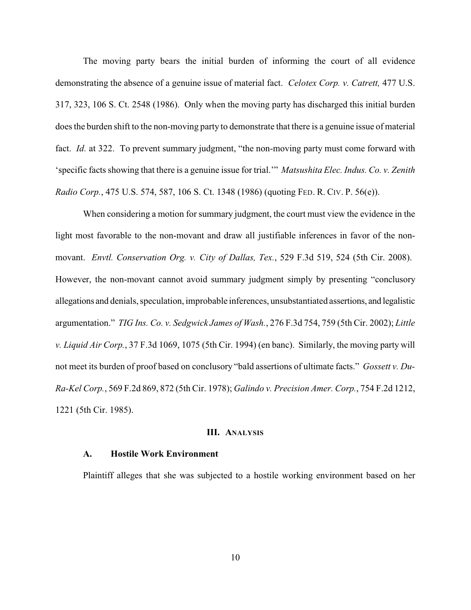The moving party bears the initial burden of informing the court of all evidence demonstrating the absence of a genuine issue of material fact. *Celotex Corp. v. Catrett,* 477 U.S. 317, 323, 106 S. Ct. 2548 (1986). Only when the moving party has discharged this initial burden does the burden shift to the non-moving party to demonstrate that there is a genuine issue of material fact. *Id.* at 322. To prevent summary judgment, "the non-moving party must come forward with 'specific facts showing that there is a genuine issue for trial.'" *Matsushita Elec. Indus. Co. v. Zenith Radio Corp.*, 475 U.S. 574, 587, 106 S. Ct. 1348 (1986) (quoting FED. R. CIV. P. 56(e)).

When considering a motion for summary judgment, the court must view the evidence in the light most favorable to the non-movant and draw all justifiable inferences in favor of the nonmovant. *Envtl. Conservation Org. v. City of Dallas, Tex.*, 529 F.3d 519, 524 (5th Cir. 2008). However, the non-movant cannot avoid summary judgment simply by presenting "conclusory allegations and denials, speculation, improbable inferences, unsubstantiated assertions, and legalistic argumentation." *TIG Ins. Co. v. Sedgwick James of Wash.*, 276 F.3d 754, 759 (5th Cir. 2002); *Little v. Liquid Air Corp.*, 37 F.3d 1069, 1075 (5th Cir. 1994) (en banc). Similarly, the moving party will not meet its burden of proof based on conclusory "bald assertions of ultimate facts." *Gossett v. Du-Ra-Kel Corp.*, 569 F.2d 869, 872 (5th Cir. 1978); *Galindo v. Precision Amer. Corp.*, 754 F.2d 1212, 1221 (5th Cir. 1985).

### **III. ANALYSIS**

#### **A. Hostile Work Environment**

Plaintiff alleges that she was subjected to a hostile working environment based on her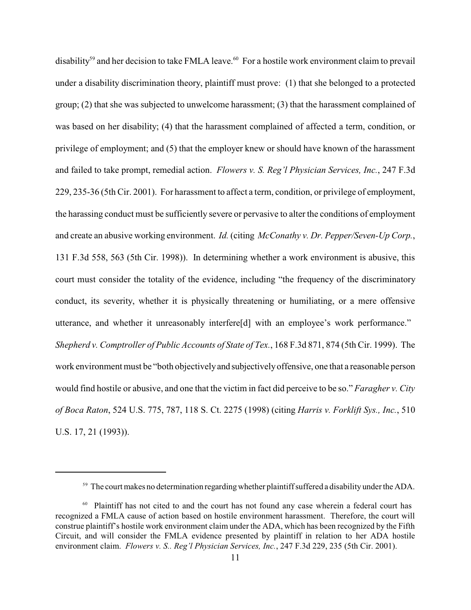disability<sup>59</sup> and her decision to take FMLA leave.<sup>60</sup> For a hostile work environment claim to prevail under a disability discrimination theory, plaintiff must prove: (1) that she belonged to a protected group; (2) that she was subjected to unwelcome harassment; (3) that the harassment complained of was based on her disability; (4) that the harassment complained of affected a term, condition, or privilege of employment; and (5) that the employer knew or should have known of the harassment and failed to take prompt, remedial action. *Flowers v. S. Reg'l Physician Services, Inc.*, 247 F.3d 229, 235-36 (5th Cir. 2001). For harassment to affect a term, condition, or privilege of employment, the harassing conduct must be sufficiently severe or pervasive to alter the conditions of employment and create an abusive working environment. *Id.* (citing *McConathy v. Dr. Pepper/Seven-Up Corp.*, 131 F.3d 558, 563 (5th Cir. 1998)). In determining whether a work environment is abusive, this court must consider the totality of the evidence, including "the frequency of the discriminatory conduct, its severity, whether it is physically threatening or humiliating, or a mere offensive utterance, and whether it unreasonably interfere[d] with an employee's work performance." *Shepherd v. Comptroller of Public Accounts of State of Tex.*, 168 F.3d 871, 874 (5th Cir. 1999). The work environment must be "both objectivelyand subjectivelyoffensive, one that a reasonable person would find hostile or abusive, and one that the victim in fact did perceive to be so." *Faragher v. City of Boca Raton*, 524 U.S. 775, 787, 118 S. Ct. 2275 (1998) (citing *Harris v. Forklift Sys., Inc.*, 510 U.S. 17, 21 (1993)).

 $59$  The court makes no determination regarding whether plaintiff suffered a disability under the ADA.

 $60$  Plaintiff has not cited to and the court has not found any case wherein a federal court has recognized a FMLA cause of action based on hostile environment harassment. Therefore, the court will construe plaintiff's hostile work environment claim under the ADA, which has been recognized by the Fifth Circuit, and will consider the FMLA evidence presented by plaintiff in relation to her ADA hostile environment claim. *Flowers v. S.. Reg'l Physician Services, Inc.*, 247 F.3d 229, 235 (5th Cir. 2001).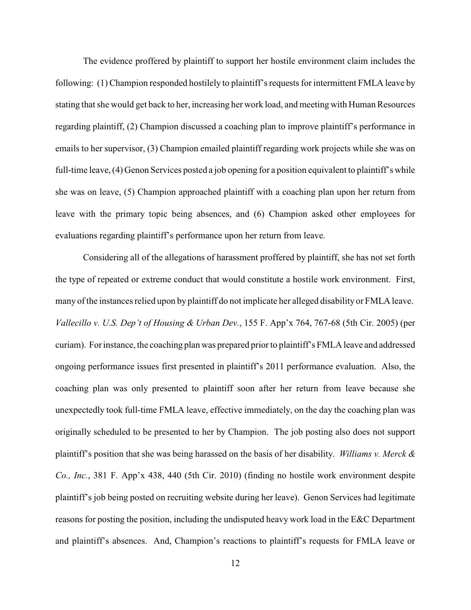The evidence proffered by plaintiff to support her hostile environment claim includes the following: (1) Champion responded hostilely to plaintiff's requests for intermittent FMLA leave by stating that she would get back to her, increasing her work load, and meeting with Human Resources regarding plaintiff, (2) Champion discussed a coaching plan to improve plaintiff's performance in emails to her supervisor, (3) Champion emailed plaintiff regarding work projects while she was on full-time leave, (4) Genon Services posted a job opening for a position equivalent to plaintiff's while she was on leave, (5) Champion approached plaintiff with a coaching plan upon her return from leave with the primary topic being absences, and (6) Champion asked other employees for evaluations regarding plaintiff's performance upon her return from leave.

Considering all of the allegations of harassment proffered by plaintiff, she has not set forth the type of repeated or extreme conduct that would constitute a hostile work environment. First, many of the instances relied upon by plaintiff do not implicate her alleged disability or FMLA leave. *Vallecillo v. U.S. Dep't of Housing & Urban Dev.*, 155 F. App'x 764, 767-68 (5th Cir. 2005) (per curiam). Forinstance, the coaching plan was prepared prior to plaintiff's FMLA leave and addressed ongoing performance issues first presented in plaintiff's 2011 performance evaluation. Also, the coaching plan was only presented to plaintiff soon after her return from leave because she unexpectedly took full-time FMLA leave, effective immediately, on the day the coaching plan was originally scheduled to be presented to her by Champion. The job posting also does not support plaintiff's position that she was being harassed on the basis of her disability. *Williams v. Merck & Co., Inc.*, 381 F. App'x 438, 440 (5th Cir. 2010) (finding no hostile work environment despite plaintiff's job being posted on recruiting website during her leave). Genon Services had legitimate reasons for posting the position, including the undisputed heavy work load in the E&C Department and plaintiff's absences. And, Champion's reactions to plaintiff's requests for FMLA leave or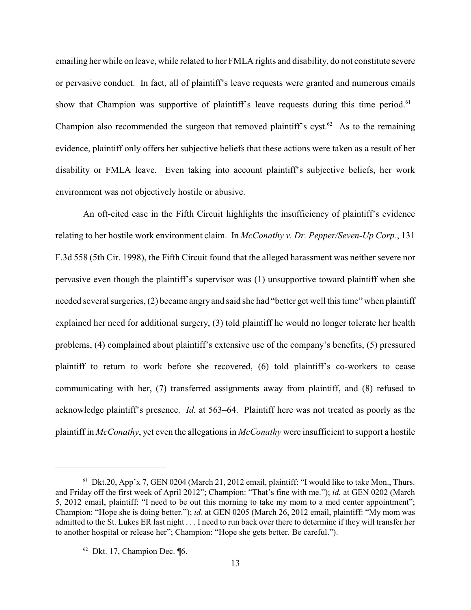emailing her while on leave, while related to her FMLA rights and disability, do not constitute severe or pervasive conduct. In fact, all of plaintiff's leave requests were granted and numerous emails show that Champion was supportive of plaintiff's leave requests during this time period.<sup>61</sup> Champion also recommended the surgeon that removed plaintiff's cyst.<sup> $62$ </sup> As to the remaining evidence, plaintiff only offers her subjective beliefs that these actions were taken as a result of her disability or FMLA leave. Even taking into account plaintiff's subjective beliefs, her work environment was not objectively hostile or abusive.

An oft-cited case in the Fifth Circuit highlights the insufficiency of plaintiff's evidence relating to her hostile work environment claim. In *McConathy v. Dr. Pepper/Seven-Up Corp.*, 131 F.3d 558 (5th Cir. 1998), the Fifth Circuit found that the alleged harassment was neither severe nor pervasive even though the plaintiff's supervisor was (1) unsupportive toward plaintiff when she needed several surgeries, (2) became angry and said she had "better get well this time" when plaintiff explained her need for additional surgery, (3) told plaintiff he would no longer tolerate her health problems, (4) complained about plaintiff's extensive use of the company's benefits, (5) pressured plaintiff to return to work before she recovered, (6) told plaintiff's co-workers to cease communicating with her, (7) transferred assignments away from plaintiff, and (8) refused to acknowledge plaintiff's presence. *Id.* at 563–64. Plaintiff here was not treated as poorly as the plaintiff in *McConathy*, yet even the allegations in *McConathy* were insufficient to support a hostile

 $61$  Dkt.20, App'x 7, GEN 0204 (March 21, 2012 email, plaintiff: "I would like to take Mon., Thurs. and Friday off the first week of April 2012"; Champion: "That's fine with me."); *id.* at GEN 0202 (March 5, 2012 email, plaintiff: "I need to be out this morning to take my mom to a med center appointment"; Champion: "Hope she is doing better."); *id.* at GEN 0205 (March 26, 2012 email, plaintiff: "My mom was admitted to the St. Lukes ER last night . . . I need to run back over there to determine if they will transfer her to another hospital or release her"; Champion: "Hope she gets better. Be careful.").

 $62$  Dkt. 17, Champion Dec.  $\P6$ .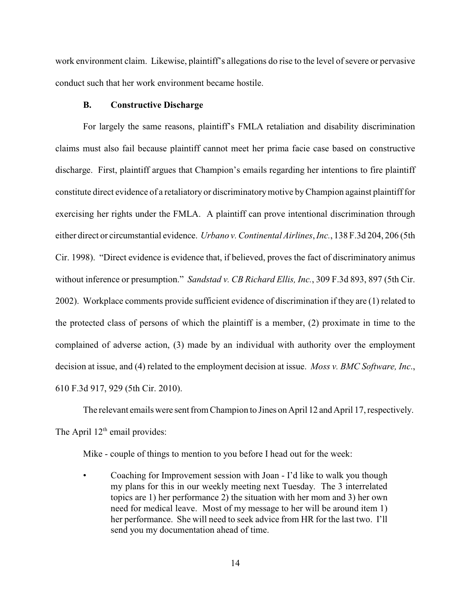work environment claim. Likewise, plaintiff's allegations do rise to the level of severe or pervasive conduct such that her work environment became hostile.

#### **B. Constructive Discharge**

For largely the same reasons, plaintiff's FMLA retaliation and disability discrimination claims must also fail because plaintiff cannot meet her prima facie case based on constructive discharge. First, plaintiff argues that Champion's emails regarding her intentions to fire plaintiff constitute direct evidence of a retaliatory or discriminatorymotive byChampion against plaintiff for exercising her rights under the FMLA. A plaintiff can prove intentional discrimination through either direct or circumstantial evidence. *Urbano v. Continental Airlines*, *Inc.*, 138 F.3d 204, 206 (5th Cir. 1998). "Direct evidence is evidence that, if believed, proves the fact of discriminatory animus without inference or presumption." *Sandstad v. CB Richard Ellis, Inc.*, 309 F.3d 893, 897 (5th Cir. 2002). Workplace comments provide sufficient evidence of discrimination if they are (1) related to the protected class of persons of which the plaintiff is a member, (2) proximate in time to the complained of adverse action, (3) made by an individual with authority over the employment decision at issue, and (4) related to the employment decision at issue. *Moss v. BMC Software, Inc*., 610 F.3d 917, 929 (5th Cir. 2010).

The relevant emails were sent from Champion to Jines on April 12 and April 17, respectively. The April  $12<sup>th</sup>$  email provides:

Mike - couple of things to mention to you before I head out for the week:

• Coaching for Improvement session with Joan - I'd like to walk you though my plans for this in our weekly meeting next Tuesday. The 3 interrelated topics are 1) her performance 2) the situation with her mom and 3) her own need for medical leave. Most of my message to her will be around item 1) her performance. She will need to seek advice from HR for the last two. I'll send you my documentation ahead of time.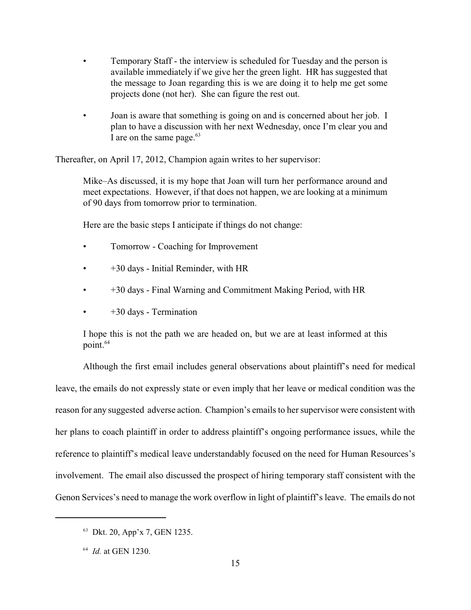- Temporary Staff the interview is scheduled for Tuesday and the person is available immediately if we give her the green light. HR has suggested that the message to Joan regarding this is we are doing it to help me get some projects done (not her). She can figure the rest out.
- Joan is aware that something is going on and is concerned about her job. I plan to have a discussion with her next Wednesday, once I'm clear you and I are on the same page.<sup>63</sup>

Thereafter, on April 17, 2012, Champion again writes to her supervisor:

Mike–As discussed, it is my hope that Joan will turn her performance around and meet expectations. However, if that does not happen, we are looking at a minimum of 90 days from tomorrow prior to termination.

Here are the basic steps I anticipate if things do not change:

- Tomorrow Coaching for Improvement
- +30 days Initial Reminder, with HR
- +30 days Final Warning and Commitment Making Period, with HR
- +30 days Termination

I hope this is not the path we are headed on, but we are at least informed at this point.<sup>64</sup>

Although the first email includes general observations about plaintiff's need for medical leave, the emails do not expressly state or even imply that her leave or medical condition was the reason for any suggested adverse action. Champion's emails to her supervisor were consistent with her plans to coach plaintiff in order to address plaintiff's ongoing performance issues, while the reference to plaintiff's medical leave understandably focused on the need for Human Resources's involvement. The email also discussed the prospect of hiring temporary staff consistent with the Genon Services's need to manage the work overflow in light of plaintiff's leave. The emails do not

<sup>&</sup>lt;sup>63</sup> Dkt. 20, App'x 7, GEN 1235.

 $^{64}$  *Id.* at GEN 1230.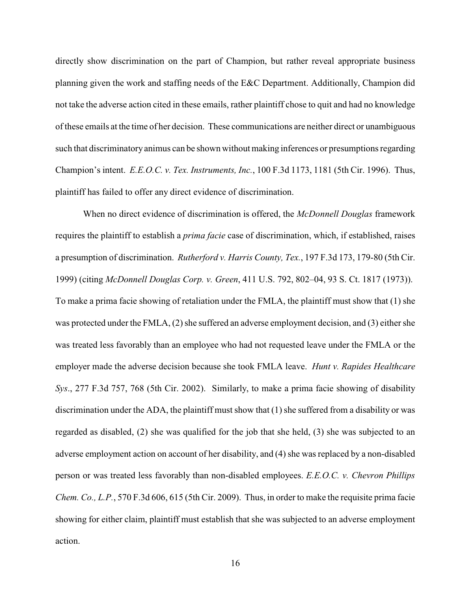directly show discrimination on the part of Champion, but rather reveal appropriate business planning given the work and staffing needs of the E&C Department. Additionally, Champion did not take the adverse action cited in these emails, rather plaintiff chose to quit and had no knowledge of these emails at the time of her decision. These communications are neither direct or unambiguous such that discriminatory animus can be shown without making inferences or presumptions regarding Champion's intent. *E.E.O.C. v. Tex. Instruments, Inc.*, 100 F.3d 1173, 1181 (5th Cir. 1996). Thus, plaintiff has failed to offer any direct evidence of discrimination.

When no direct evidence of discrimination is offered, the *McDonnell Douglas* framework requires the plaintiff to establish a *prima facie* case of discrimination, which, if established, raises a presumption of discrimination. *Rutherford v. Harris County, Tex.*, 197 F.3d 173, 179-80 (5th Cir. 1999) (citing *McDonnell Douglas Corp. v. Green*, 411 U.S. 792, 802–04, 93 S. Ct. 1817 (1973)). To make a prima facie showing of retaliation under the FMLA, the plaintiff must show that (1) she was protected under the FMLA, (2) she suffered an adverse employment decision, and (3) either she was treated less favorably than an employee who had not requested leave under the FMLA or the employer made the adverse decision because she took FMLA leave. *Hunt v. Rapides Healthcare Sys*., 277 F.3d 757, 768 (5th Cir. 2002). Similarly, to make a prima facie showing of disability discrimination under the ADA, the plaintiff must show that (1) she suffered from a disability or was regarded as disabled, (2) she was qualified for the job that she held, (3) she was subjected to an adverse employment action on account of her disability, and (4) she was replaced by a non-disabled person or was treated less favorably than non-disabled employees. *E.E.O.C. v. Chevron Phillips Chem. Co., L.P.*, 570 F.3d 606, 615 (5th Cir. 2009). Thus, in order to make the requisite prima facie showing for either claim, plaintiff must establish that she was subjected to an adverse employment action.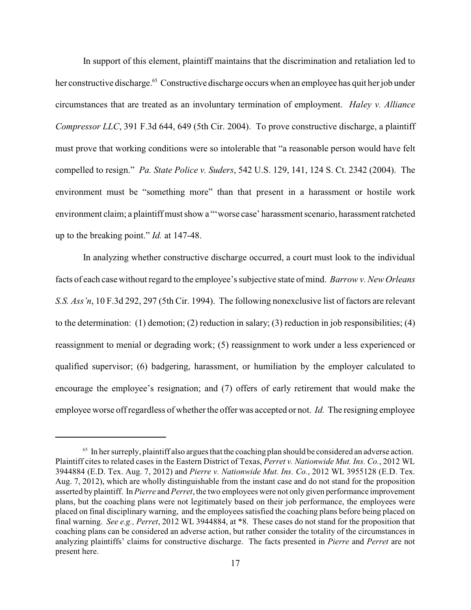In support of this element, plaintiff maintains that the discrimination and retaliation led to her constructive discharge.<sup>65</sup> Constructive discharge occurs when an employee has quit her job under circumstances that are treated as an involuntary termination of employment. *Haley v. Alliance Compressor LLC*, 391 F.3d 644, 649 (5th Cir. 2004). To prove constructive discharge, a plaintiff must prove that working conditions were so intolerable that "a reasonable person would have felt compelled to resign." *Pa. State Police v. Suders*, 542 U.S. 129, 141, 124 S. Ct. 2342 (2004). The environment must be "something more" than that present in a harassment or hostile work environment claim; a plaintiff must show a "'worse case' harassment scenario, harassment ratcheted up to the breaking point." *Id.* at 147-48.

In analyzing whether constructive discharge occurred, a court must look to the individual facts of each case without regard to the employee's subjective state of mind. *Barrow v. New Orleans S.S. Ass'n*, 10 F.3d 292, 297 (5th Cir. 1994). The following nonexclusive list of factors are relevant to the determination: (1) demotion; (2) reduction in salary; (3) reduction in job responsibilities; (4) reassignment to menial or degrading work; (5) reassignment to work under a less experienced or qualified supervisor; (6) badgering, harassment, or humiliation by the employer calculated to encourage the employee's resignation; and (7) offers of early retirement that would make the employee worse off regardless of whether the offer was accepted or not. *Id.* The resigning employee

 $65$  In her surreply, plaintiff also argues that the coaching plan should be considered an adverse action. Plaintiff cites to related cases in the Eastern District of Texas, *Perret v. Nationwide Mut. Ins. Co.*, 2012 WL 3944884 (E.D. Tex. Aug. 7, 2012) and *Pierre v. Nationwide Mut. Ins. Co.*, 2012 WL 3955128 (E.D. Tex. Aug. 7, 2012), which are wholly distinguishable from the instant case and do not stand for the proposition asserted by plaintiff. In *Pierre* and *Perret*, the two employees were not only given performance improvement plans, but the coaching plans were not legitimately based on their job performance, the employees were placed on final disciplinary warning, and the employees satisfied the coaching plans before being placed on final warning. *See e.g., Perret*, 2012 WL 3944884, at \*8. These cases do not stand for the proposition that coaching plans can be considered an adverse action, but rather consider the totality of the circumstances in analyzing plaintiffs' claims for constructive discharge. The facts presented in *Pierre* and *Perret* are not present here.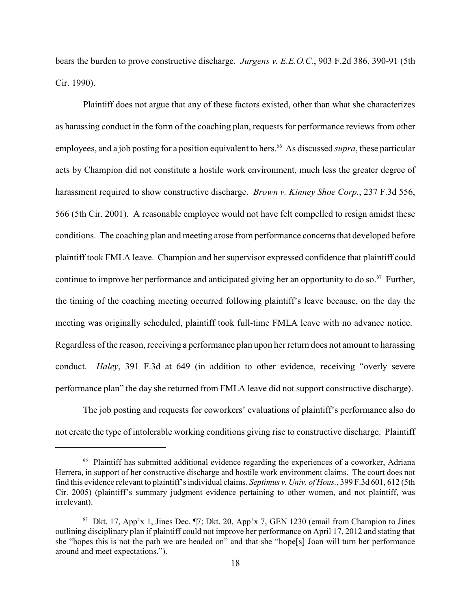bears the burden to prove constructive discharge. *Jurgens v. E.E.O.C.*, 903 F.2d 386, 390-91 (5th Cir. 1990).

Plaintiff does not argue that any of these factors existed, other than what she characterizes as harassing conduct in the form of the coaching plan, requests for performance reviews from other employees, and a job posting for a position equivalent to hers.<sup>66</sup> As discussed *supra*, these particular acts by Champion did not constitute a hostile work environment, much less the greater degree of harassment required to show constructive discharge. *Brown v. Kinney Shoe Corp.*, 237 F.3d 556, 566 (5th Cir. 2001). A reasonable employee would not have felt compelled to resign amidst these conditions. The coaching plan and meeting arose from performance concerns that developed before plaintiff took FMLA leave. Champion and her supervisor expressed confidence that plaintiff could continue to improve her performance and anticipated giving her an opportunity to do so.<sup>67</sup> Further, the timing of the coaching meeting occurred following plaintiff's leave because, on the day the meeting was originally scheduled, plaintiff took full-time FMLA leave with no advance notice. Regardless of the reason, receiving a performance plan upon her return does not amount to harassing conduct. *Haley*, 391 F.3d at 649 (in addition to other evidence, receiving "overly severe performance plan" the day she returned from FMLA leave did not support constructive discharge).

The job posting and requests for coworkers' evaluations of plaintiff's performance also do not create the type of intolerable working conditions giving rise to constructive discharge. Plaintiff

<sup>&</sup>lt;sup>66</sup> Plaintiff has submitted additional evidence regarding the experiences of a coworker, Adriana Herrera, in support of her constructive discharge and hostile work environment claims. The court does not find this evidence relevant to plaintiff's individual claims. *Septimus v. Univ. of Hous.*, 399 F.3d 601, 612 (5th Cir. 2005) (plaintiff's summary judgment evidence pertaining to other women, and not plaintiff, was irrelevant).

 $67$  Dkt. 17, App'x 1, Jines Dec.  $\P$ 7; Dkt. 20, App'x 7, GEN 1230 (email from Champion to Jines outlining disciplinary plan if plaintiff could not improve her performance on April 17, 2012 and stating that she "hopes this is not the path we are headed on" and that she "hope[s] Joan will turn her performance around and meet expectations.").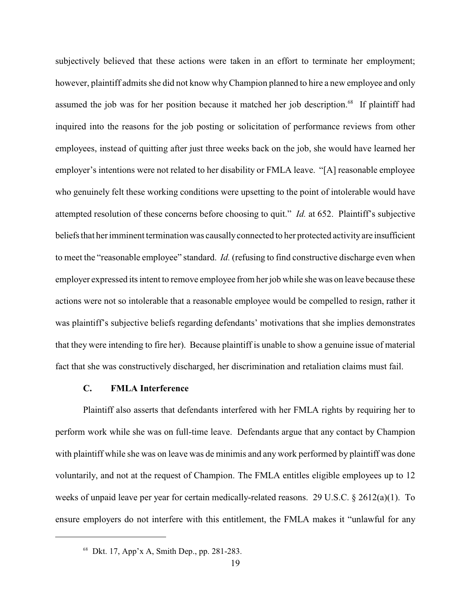subjectively believed that these actions were taken in an effort to terminate her employment; however, plaintiff admits she did not know whyChampion planned to hire a new employee and only assumed the job was for her position because it matched her job description.<sup>68</sup> If plaintiff had inquired into the reasons for the job posting or solicitation of performance reviews from other employees, instead of quitting after just three weeks back on the job, she would have learned her employer's intentions were not related to her disability or FMLA leave. "[A] reasonable employee who genuinely felt these working conditions were upsetting to the point of intolerable would have attempted resolution of these concerns before choosing to quit." *Id.* at 652. Plaintiff's subjective beliefs that her imminent termination was causally connected to her protected activity are insufficient to meet the "reasonable employee" standard. *Id.* (refusing to find constructive discharge even when employer expressed its intent to remove employee from her job while she was on leave because these actions were not so intolerable that a reasonable employee would be compelled to resign, rather it was plaintiff's subjective beliefs regarding defendants' motivations that she implies demonstrates that they were intending to fire her). Because plaintiff is unable to show a genuine issue of material fact that she was constructively discharged, her discrimination and retaliation claims must fail.

#### **C. FMLA Interference**

Plaintiff also asserts that defendants interfered with her FMLA rights by requiring her to perform work while she was on full-time leave. Defendants argue that any contact by Champion with plaintiff while she was on leave was de minimis and any work performed by plaintiff was done voluntarily, and not at the request of Champion. The FMLA entitles eligible employees up to 12 weeks of unpaid leave per year for certain medically-related reasons. 29 U.S.C. § 2612(a)(1). To ensure employers do not interfere with this entitlement, the FMLA makes it "unlawful for any

 $68$  Dkt. 17, App'x A, Smith Dep., pp. 281-283.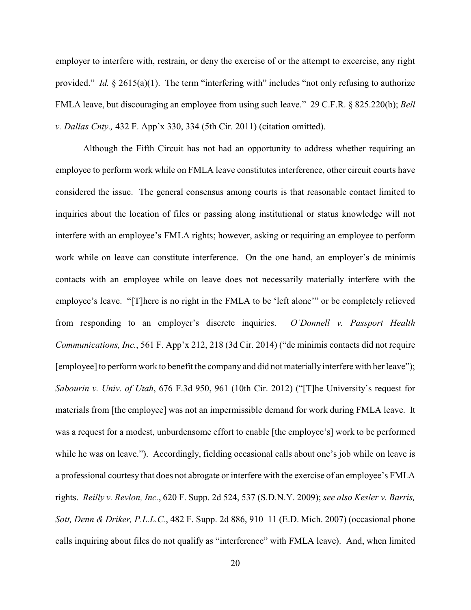employer to interfere with, restrain, or deny the exercise of or the attempt to excercise, any right provided." *Id.* § 2615(a)(1). The term "interfering with" includes "not only refusing to authorize FMLA leave, but discouraging an employee from using such leave." 29 C.F.R. § 825.220(b); *Bell v. Dallas Cnty.,* 432 F. App'x 330, 334 (5th Cir. 2011) (citation omitted).

Although the Fifth Circuit has not had an opportunity to address whether requiring an employee to perform work while on FMLA leave constitutes interference, other circuit courts have considered the issue. The general consensus among courts is that reasonable contact limited to inquiries about the location of files or passing along institutional or status knowledge will not interfere with an employee's FMLA rights; however, asking or requiring an employee to perform work while on leave can constitute interference. On the one hand, an employer's de minimis contacts with an employee while on leave does not necessarily materially interfere with the employee's leave. "[T]here is no right in the FMLA to be 'left alone'" or be completely relieved from responding to an employer's discrete inquiries. *O'Donnell v. Passport Health Communications, Inc.*, 561 F. App'x 212, 218 (3d Cir. 2014) ("de minimis contacts did not require [employee] to perform work to benefit the company and did not materially interfere with her leave"); *Sabourin v. Univ. of Utah*, 676 F.3d 950, 961 (10th Cir. 2012) ("[T]he University's request for materials from [the employee] was not an impermissible demand for work during FMLA leave. It was a request for a modest, unburdensome effort to enable [the employee's] work to be performed while he was on leave."). Accordingly, fielding occasional calls about one's job while on leave is a professional courtesy that does not abrogate or interfere with the exercise of an employee's FMLA rights. *Reilly v. Revlon, Inc.*, 620 F. Supp. 2d 524, 537 (S.D.N.Y. 2009); *see also Kesler v. Barris, Sott, Denn & Driker, P.L.L.C.*, 482 F. Supp. 2d 886, 910–11 (E.D. Mich. 2007) (occasional phone calls inquiring about files do not qualify as "interference" with FMLA leave). And, when limited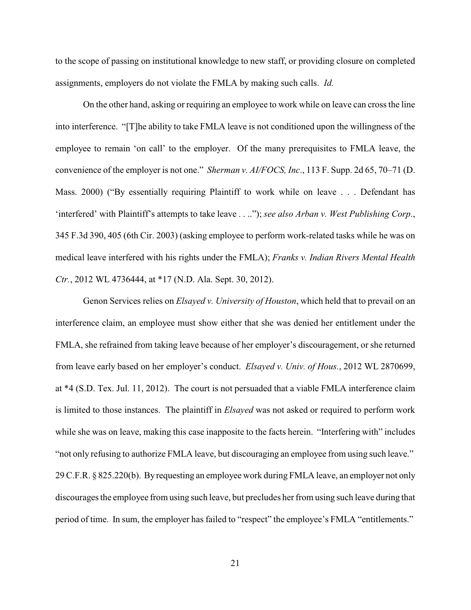to the scope of passing on institutional knowledge to new staff, or providing closure on completed assignments, employers do not violate the FMLA by making such calls. *Id.*

On the other hand, asking or requiring an employee to work while on leave can cross the line into interference. "[T]he ability to take FMLA leave is not conditioned upon the willingness of the employee to remain 'on call' to the employer. Of the many prerequisites to FMLA leave, the convenience of the employer is not one." *Sherman v. AI/FOCS, Inc*., 113 F. Supp. 2d 65, 70–71 (D. Mass. 2000) ("By essentially requiring Plaintiff to work while on leave . . . Defendant has 'interfered' with Plaintiff's attempts to take leave . . .."); *see also Arban v. West Publishing Corp*., 345 F.3d 390, 405 (6th Cir. 2003) (asking employee to perform work-related tasks while he was on medical leave interfered with his rights under the FMLA); *Franks v. Indian Rivers Mental Health Ctr.*, 2012 WL 4736444, at \*17 (N.D. Ala. Sept. 30, 2012).

Genon Services relies on *Elsayed v. University of Houston*, which held that to prevail on an interference claim, an employee must show either that she was denied her entitlement under the FMLA, she refrained from taking leave because of her employer's discouragement, or she returned from leave early based on her employer's conduct. *Elsayed v. Univ. of Hous.*, 2012 WL 2870699, at \*4 (S.D. Tex. Jul. 11, 2012). The court is not persuaded that a viable FMLA interference claim is limited to those instances. The plaintiff in *Elsayed* was not asked or required to perform work while she was on leave, making this case inapposite to the facts herein. "Interfering with" includes "not only refusing to authorize FMLA leave, but discouraging an employee from using such leave." 29 C.F.R. § 825.220(b). Byrequesting an employee work during FMLA leave, an employer not only discourages the employee from using such leave, but precludes her from using such leave during that period of time. In sum, the employer has failed to "respect" the employee's FMLA "entitlements."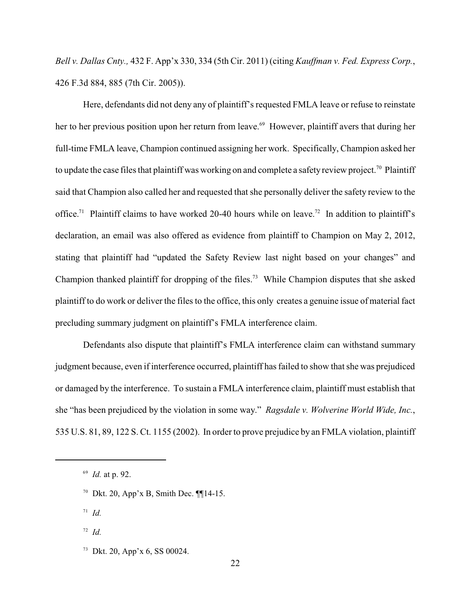*Bell v. Dallas Cnty.,* 432 F. App'x 330, 334 (5th Cir. 2011) (citing *Kauffman v. Fed. Express Corp.*, 426 F.3d 884, 885 (7th Cir. 2005)).

Here, defendants did not deny any of plaintiff's requested FMLA leave or refuse to reinstate her to her previous position upon her return from leave.<sup>69</sup> However, plaintiff avers that during her full-time FMLA leave, Champion continued assigning her work. Specifically, Champion asked her to update the case files that plaintiff was working on and complete a safety review project.<sup>70</sup> Plaintiff said that Champion also called her and requested that she personally deliver the safety review to the office.<sup>71</sup> Plaintiff claims to have worked 20-40 hours while on leave.<sup>72</sup> In addition to plaintiff's declaration, an email was also offered as evidence from plaintiff to Champion on May 2, 2012, stating that plaintiff had "updated the Safety Review last night based on your changes" and Champion thanked plaintiff for dropping of the files.<sup>73</sup> While Champion disputes that she asked plaintiff to do work or deliver the files to the office, this only creates a genuine issue of material fact precluding summary judgment on plaintiff's FMLA interference claim.

Defendants also dispute that plaintiff's FMLA interference claim can withstand summary judgment because, even if interference occurred, plaintiff has failed to show that she was prejudiced or damaged by the interference. To sustain a FMLA interference claim, plaintiff must establish that she "has been prejudiced by the violation in some way." *Ragsdale v. Wolverine World Wide, Inc.*, 535 U.S. 81, 89, 122 S. Ct. 1155 (2002). In order to prove prejudice by an FMLA violation, plaintiff

<sup>70</sup> Dkt. 20, App'x B, Smith Dec.  $\P$ [14-15.

 $I^1$  *Id.* 

 $72$  *Id.* 

<sup>&</sup>lt;sup>69</sup> *Id.* at p. 92.

 $73$  Dkt. 20, App'x 6, SS 00024.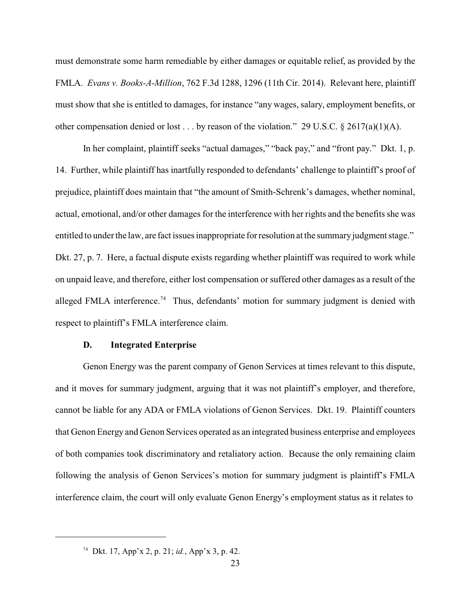must demonstrate some harm remediable by either damages or equitable relief, as provided by the FMLA. *Evans v. Books-A-Million*, 762 F.3d 1288, 1296 (11th Cir. 2014). Relevant here, plaintiff must show that she is entitled to damages, for instance "any wages, salary, employment benefits, or other compensation denied or lost . . . by reason of the violation." 29 U.S.C. § 2617(a)(1)(A).

In her complaint, plaintiff seeks "actual damages," "back pay," and "front pay." Dkt. 1, p. 14. Further, while plaintiff has inartfully responded to defendants' challenge to plaintiff's proof of prejudice, plaintiff does maintain that "the amount of Smith-Schrenk's damages, whether nominal, actual, emotional, and/or other damages for the interference with her rights and the benefits she was entitled to under the law, are fact issues inappropriate for resolution at the summary judgment stage." Dkt. 27, p. 7. Here, a factual dispute exists regarding whether plaintiff was required to work while on unpaid leave, and therefore, either lost compensation or suffered other damages as a result of the alleged FMLA interference.<sup>74</sup> Thus, defendants' motion for summary judgment is denied with respect to plaintiff's FMLA interference claim.

### **D. Integrated Enterprise**

Genon Energy was the parent company of Genon Services at times relevant to this dispute, and it moves for summary judgment, arguing that it was not plaintiff's employer, and therefore, cannot be liable for any ADA or FMLA violations of Genon Services. Dkt. 19. Plaintiff counters that Genon Energy and Genon Services operated as an integrated business enterprise and employees of both companies took discriminatory and retaliatory action. Because the only remaining claim following the analysis of Genon Services's motion for summary judgment is plaintiff's FMLA interference claim, the court will only evaluate Genon Energy's employment status as it relates to

Dkt. 17, App'x 2, p. 21; *id.*, App'x 3, p. 42. 74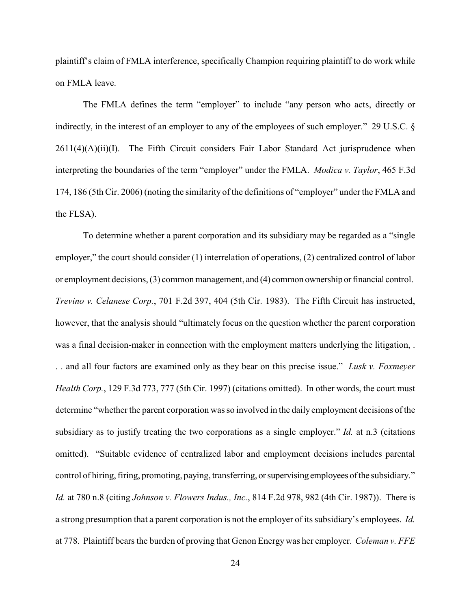plaintiff's claim of FMLA interference, specifically Champion requiring plaintiff to do work while on FMLA leave.

The FMLA defines the term "employer" to include "any person who acts, directly or indirectly, in the interest of an employer to any of the employees of such employer." 29 U.S.C. §  $2611(4)(A)(ii)(I)$ . The Fifth Circuit considers Fair Labor Standard Act jurisprudence when interpreting the boundaries of the term "employer" under the FMLA. *Modica v. Taylor*, 465 F.3d 174, 186 (5th Cir. 2006) (noting the similarity of the definitions of "employer" under the FMLA and the FLSA).

To determine whether a parent corporation and its subsidiary may be regarded as a "single employer," the court should consider (1) interrelation of operations, (2) centralized control of labor or employment decisions, (3) common management, and (4) common ownership or financial control. *Trevino v. Celanese Corp.*, 701 F.2d 397, 404 (5th Cir. 1983). The Fifth Circuit has instructed, however, that the analysis should "ultimately focus on the question whether the parent corporation was a final decision-maker in connection with the employment matters underlying the litigation, . . . and all four factors are examined only as they bear on this precise issue." *Lusk v. Foxmeyer Health Corp.*, 129 F.3d 773, 777 (5th Cir. 1997) (citations omitted). In other words, the court must determine "whether the parent corporation was so involved in the daily employment decisions of the subsidiary as to justify treating the two corporations as a single employer." *Id.* at n.3 (citations omitted). "Suitable evidence of centralized labor and employment decisions includes parental control of hiring, firing, promoting, paying, transferring, or supervising employees of the subsidiary." *Id.* at 780 n.8 (citing *Johnson v. Flowers Indus., Inc.*, 814 F.2d 978, 982 (4th Cir. 1987)). There is a strong presumption that a parent corporation is not the employer of its subsidiary's employees. *Id.* at 778. Plaintiff bears the burden of proving that Genon Energy was her employer. *Coleman v. FFE*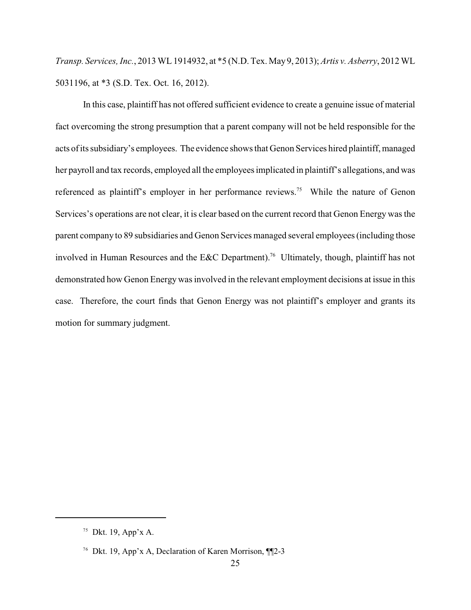*Transp. Services, Inc.*, 2013 WL1914932, at \*5 (N.D. Tex. May9, 2013); *Artis v. Asberry*, 2012 WL 5031196, at \*3 (S.D. Tex. Oct. 16, 2012).

In this case, plaintiff has not offered sufficient evidence to create a genuine issue of material fact overcoming the strong presumption that a parent company will not be held responsible for the acts of its subsidiary's employees. The evidence shows that Genon Services hired plaintiff, managed her payroll and tax records, employed all the employees implicated in plaintiff's allegations, and was referenced as plaintiff's employer in her performance reviews.<sup>75</sup> While the nature of Genon Services's operations are not clear, it is clear based on the current record that Genon Energy was the parent company to 89 subsidiaries and Genon Services managed several employees (including those involved in Human Resources and the E&C Department).<sup>76</sup> Ultimately, though, plaintiff has not demonstrated how Genon Energy was involved in the relevant employment decisions at issue in this case. Therefore, the court finds that Genon Energy was not plaintiff's employer and grants its motion for summary judgment.

<sup>&</sup>lt;sup>75</sup> Dkt. 19, App'x A.

<sup>&</sup>lt;sup>76</sup> Dkt. 19, App'x A, Declaration of Karen Morrison, ¶¶2-3